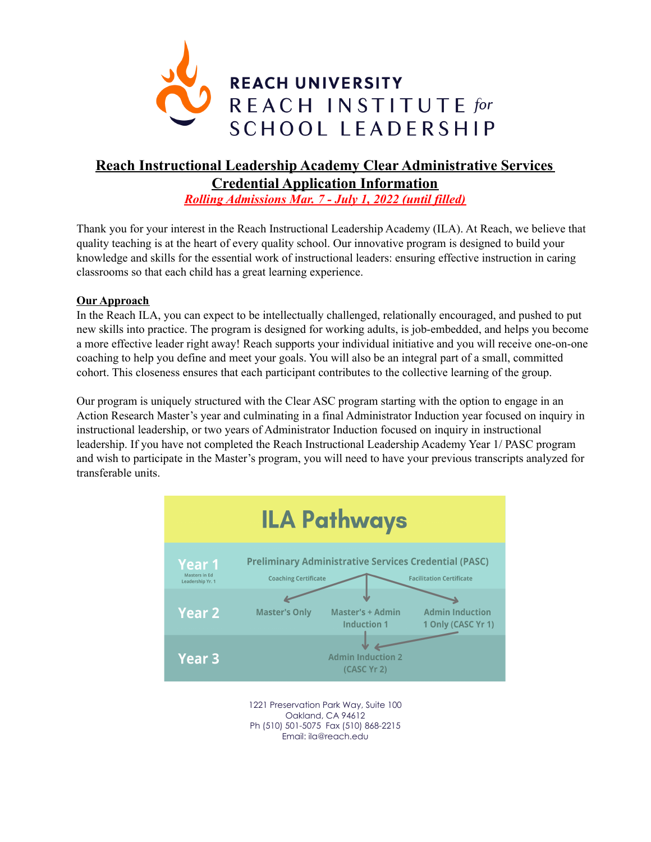

# **Reach Instructional Leadership Academy Clear Administrative Services Credential Application Information**

*Rolling Admissions Mar. 7 - July 1, 2022 (until filled)*

Thank you for your interest in the Reach Instructional Leadership Academy (ILA). At Reach, we believe that quality teaching is at the heart of every quality school. Our innovative program is designed to build your knowledge and skills for the essential work of instructional leaders: ensuring effective instruction in caring classrooms so that each child has a great learning experience.

## **Our Approach**

In the Reach ILA, you can expect to be intellectually challenged, relationally encouraged, and pushed to put new skills into practice. The program is designed for working adults, is job-embedded, and helps you become a more effective leader right away! Reach supports your individual initiative and you will receive one-on-one coaching to help you define and meet your goals. You will also be an integral part of a small, committed cohort. This closeness ensures that each participant contributes to the collective learning of the group.

Our program is uniquely structured with the Clear ASC program starting with the option to engage in an Action Research Master's year and culminating in a final Administrator Induction year focused on inquiry in instructional leadership, or two years of Administrator Induction focused on inquiry in instructional leadership. If you have not completed the Reach Instructional Leadership Academy Year 1/ PASC program and wish to participate in the Master's program, you will need to have your previous transcripts analyzed for transferable units.



Oakland, CA 94612 Ph (510) 501-5075 Fax (510) 868-2215 Email: ila@reach.edu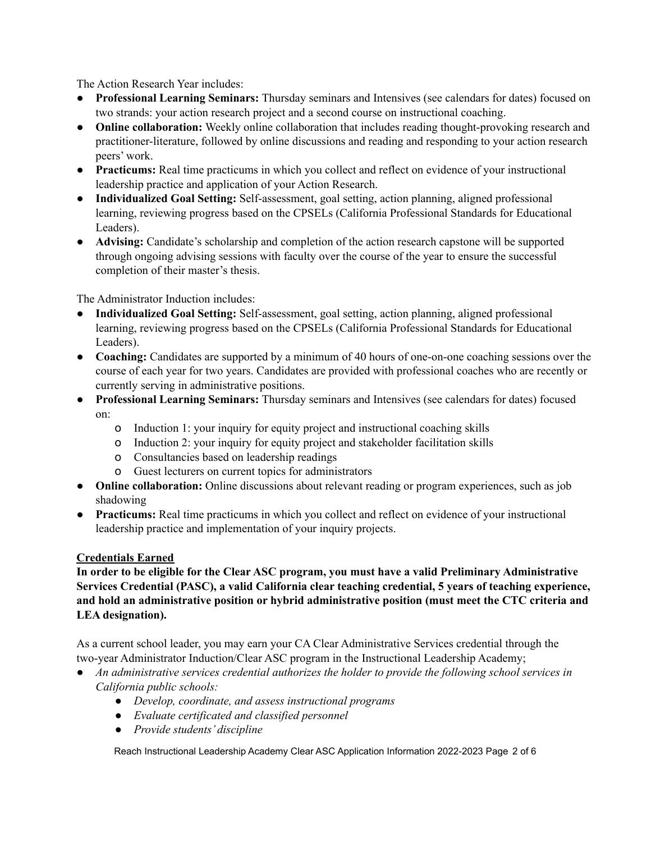The Action Research Year includes:

- **Professional Learning Seminars:** Thursday seminars and Intensives (see calendars for dates) focused on two strands: your action research project and a second course on instructional coaching.
- **Online collaboration:** Weekly online collaboration that includes reading thought-provoking research and practitioner-literature, followed by online discussions and reading and responding to your action research peers' work.
- **Practicums:** Real time practicums in which you collect and reflect on evidence of your instructional leadership practice and application of your Action Research.
- **Individualized Goal Setting:** Self-assessment, goal setting, action planning, aligned professional learning, reviewing progress based on the CPSELs (California Professional Standards for Educational Leaders).
- **Advising:** Candidate's scholarship and completion of the action research capstone will be supported through ongoing advising sessions with faculty over the course of the year to ensure the successful completion of their master's thesis.

The Administrator Induction includes:

- **Individualized Goal Setting:** Self-assessment, goal setting, action planning, aligned professional learning, reviewing progress based on the CPSELs (California Professional Standards for Educational Leaders).
- **Coaching:** Candidates are supported by a minimum of 40 hours of one-on-one coaching sessions over the course of each year for two years. Candidates are provided with professional coaches who are recently or currently serving in administrative positions.
- **Professional Learning Seminars:** Thursday seminars and Intensives (see calendars for dates) focused on:
	- o Induction 1: your inquiry for equity project and instructional coaching skills
	- o Induction 2: your inquiry for equity project and stakeholder facilitation skills
	- o Consultancies based on leadership readings
	- o Guest lecturers on current topics for administrators
- **Online collaboration:** Online discussions about relevant reading or program experiences, such as job shadowing
- **Practicums:** Real time practicums in which you collect and reflect on evidence of your instructional leadership practice and implementation of your inquiry projects.

#### **Credentials Earned**

**In order to be eligible for the Clear ASC program, you must have a valid Preliminary Administrative Services Credential (PASC), a valid California clear teaching credential, 5 years of teaching experience, and hold an administrative position or hybrid administrative position (must meet the CTC criteria and LEA designation).**

As a current school leader, you may earn your CA Clear Administrative Services credential through the two-year Administrator Induction/Clear ASC program in the Instructional Leadership Academy;

- *● An administrative services credential authorizes the holder to provide the following school services in California public schools:*
	- *● Develop, coordinate, and assess instructional programs*
	- *● Evaluate certificated and classified personnel*
	- *● Provide students' discipline*

Reach Instructional Leadership Academy Clear ASC Application Information 2022-2023 Page 2 of 6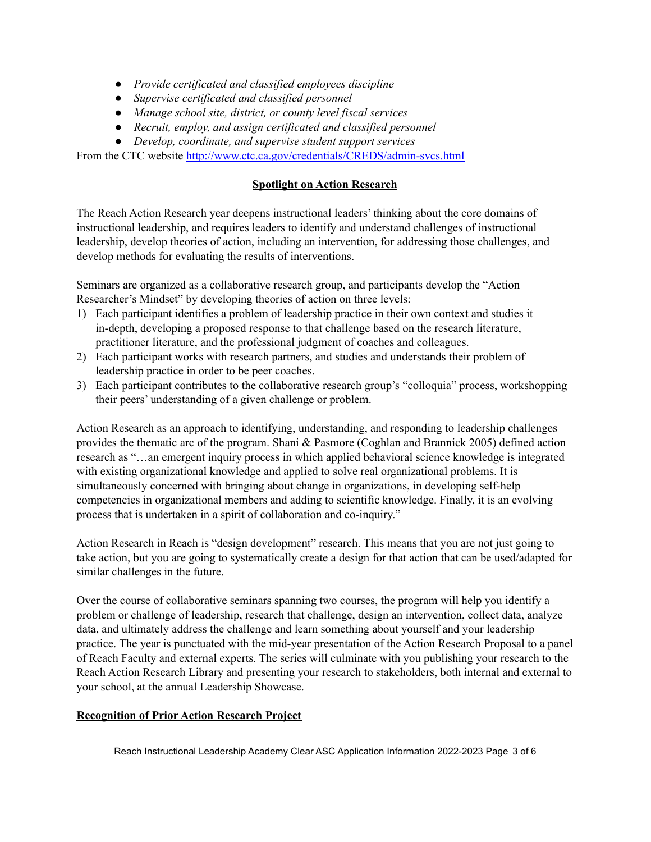- *● Provide certificated and classified employees discipline*
- *● Supervise certificated and classified personnel*
- *● Manage school site, district, or county level fiscal services*
- *● Recruit, employ, and assign certificated and classified personnel*
- *● Develop, coordinate, and supervise student support services*

From the CTC website <http://www.ctc.ca.gov/credentials/CREDS/admin-svcs.html>

### **Spotlight on Action Research**

The Reach Action Research year deepens instructional leaders' thinking about the core domains of instructional leadership, and requires leaders to identify and understand challenges of instructional leadership, develop theories of action, including an intervention, for addressing those challenges, and develop methods for evaluating the results of interventions.

Seminars are organized as a collaborative research group, and participants develop the "Action Researcher's Mindset" by developing theories of action on three levels:

- 1) Each participant identifies a problem of leadership practice in their own context and studies it in-depth, developing a proposed response to that challenge based on the research literature, practitioner literature, and the professional judgment of coaches and colleagues.
- 2) Each participant works with research partners, and studies and understands their problem of leadership practice in order to be peer coaches.
- 3) Each participant contributes to the collaborative research group's "colloquia" process, workshopping their peers' understanding of a given challenge or problem.

Action Research as an approach to identifying, understanding, and responding to leadership challenges provides the thematic arc of the program. Shani & Pasmore (Coghlan and Brannick 2005) defined action research as "…an emergent inquiry process in which applied behavioral science knowledge is integrated with existing organizational knowledge and applied to solve real organizational problems. It is simultaneously concerned with bringing about change in organizations, in developing self-help competencies in organizational members and adding to scientific knowledge. Finally, it is an evolving process that is undertaken in a spirit of collaboration and co-inquiry."

Action Research in Reach is "design development" research. This means that you are not just going to take action, but you are going to systematically create a design for that action that can be used/adapted for similar challenges in the future.

Over the course of collaborative seminars spanning two courses, the program will help you identify a problem or challenge of leadership, research that challenge, design an intervention, collect data, analyze data, and ultimately address the challenge and learn something about yourself and your leadership practice. The year is punctuated with the mid-year presentation of the Action Research Proposal to a panel of Reach Faculty and external experts. The series will culminate with you publishing your research to the Reach Action Research Library and presenting your research to stakeholders, both internal and external to your school, at the annual Leadership Showcase.

#### **Recognition of Prior Action Research Project**

Reach Instructional Leadership Academy Clear ASC Application Information 2022-2023 Page 3 of 6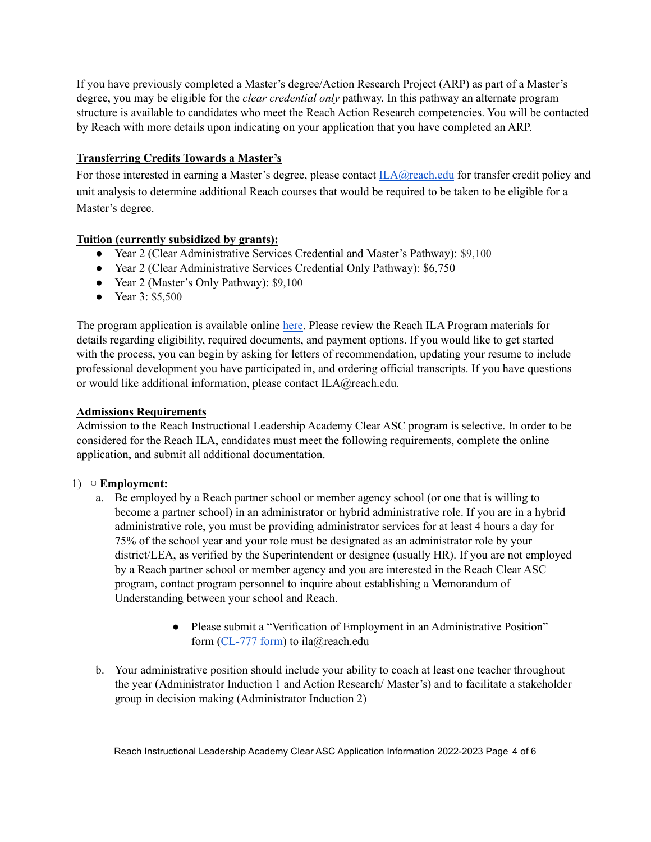If you have previously completed a Master's degree/Action Research Project (ARP) as part of a Master's degree, you may be eligible for the *clear credential only* pathway. In this pathway an alternate program structure is available to candidates who meet the Reach Action Research competencies. You will be contacted by Reach with more details upon indicating on your application that you have completed an ARP.

## **Transferring Credits Towards a Master's**

For those interested in earning a Master's degree, please contact  $ILA@reach.edu$  for transfer credit policy and unit analysis to determine additional Reach courses that would be required to be taken to be eligible for a Master's degree.

## **Tuition (currently subsidized by grants):**

- Year 2 (Clear Administrative Services Credential and Master's Pathway): \$9,100
- Year 2 (Clear Administrative Services Credential Only Pathway): \$6,750
- Year 2 (Master's Only Pathway): \$9,100
- Year 3: \$5,500

The program application is available online [here](https://grad.apply.reach.edu/). Please review the Reach ILA Program materials for details regarding eligibility, required documents, and payment options. If you would like to get started with the process, you can begin by asking for letters of recommendation, updating your resume to include professional development you have participated in, and ordering official transcripts. If you have questions or would like additional information, please contact ILA@reach.edu.

## **Admissions Requirements**

Admission to the Reach Instructional Leadership Academy Clear ASC program is selective. In order to be considered for the Reach ILA, candidates must meet the following requirements, complete the online application, and submit all additional documentation.

## 1) ▢ **Employment:**

- a. Be employed by a Reach partner school or member agency school (or one that is willing to become a partner school) in an administrator or hybrid administrative role. If you are in a hybrid administrative role, you must be providing administrator services for at least 4 hours a day for 75% of the school year and your role must be designated as an administrator role by your district/LEA, as verified by the Superintendent or designee (usually HR). If you are not employed by a Reach partner school or member agency and you are interested in the Reach Clear ASC program, contact program personnel to inquire about establishing a Memorandum of Understanding between your school and Reach.
	- Please submit a "Verification of Employment in an Administrative Position" form ([CL-777](https://www.ctc.ca.gov/docs/default-source/leaflets/cl777.pdf?sfvrsn=93bed076_4) form) to ila@reach.edu
- b. Your administrative position should include your ability to coach at least one teacher throughout the year (Administrator Induction 1 and Action Research/ Master's) and to facilitate a stakeholder group in decision making (Administrator Induction 2)

Reach Instructional Leadership Academy Clear ASC Application Information 2022-2023 Page 4 of 6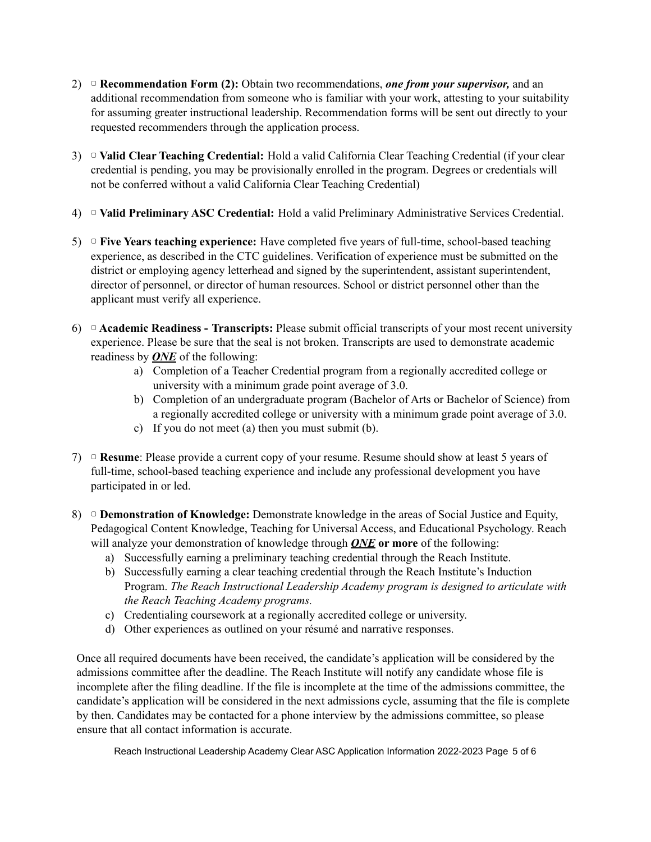- 2) ▢ **Recommendation Form (2):** Obtain two recommendations, *one from your supervisor,* and an additional recommendation from someone who is familiar with your work, attesting to your suitability for assuming greater instructional leadership. Recommendation forms will be sent out directly to your requested recommenders through the application process.
- 3) ▢ **Valid Clear Teaching Credential:** Hold a valid California Clear Teaching Credential (if your clear credential is pending, you may be provisionally enrolled in the program. Degrees or credentials will not be conferred without a valid California Clear Teaching Credential)
- 4) ▢ **Valid Preliminary ASC Credential:** Hold a valid Preliminary Administrative Services Credential.
- 5) ▢ **Five Years teaching experience:** Have completed five years of full-time, school-based teaching experience, as described in the CTC guidelines. Verification of experience must be submitted on the district or employing agency letterhead and signed by the superintendent, assistant superintendent, director of personnel, or director of human resources. School or district personnel other than the applicant must verify all experience.
- 6) ▢ **Academic Readiness - Transcripts:** Please submit official transcripts of your most recent university experience. Please be sure that the seal is not broken. Transcripts are used to demonstrate academic readiness by *ONE* of the following:
	- a) Completion of a Teacher Credential program from a regionally accredited college or university with a minimum grade point average of 3.0.
	- b) Completion of an undergraduate program (Bachelor of Arts or Bachelor of Science) from a regionally accredited college or university with a minimum grade point average of 3.0.
	- c) If you do not meet (a) then you must submit (b).
- 7) ▢ **Resume**: Please provide a current copy of your resume. Resume should show at least 5 years of full-time, school-based teaching experience and include any professional development you have participated in or led.
- 8) ▢ **Demonstration of Knowledge:** Demonstrate knowledge in the areas of Social Justice and Equity, Pedagogical Content Knowledge, Teaching for Universal Access, and Educational Psychology. Reach will analyze your demonstration of knowledge through *ONE* **or more** of the following:
	- a) Successfully earning a preliminary teaching credential through the Reach Institute.
	- b) Successfully earning a clear teaching credential through the Reach Institute's Induction Program. *The Reach Instructional Leadership Academy program is designed to articulate with the Reach Teaching Academy programs.*
	- c) Credentialing coursework at a regionally accredited college or university.
	- d) Other experiences as outlined on your résumé and narrative responses.

Once all required documents have been received, the candidate's application will be considered by the admissions committee after the deadline. The Reach Institute will notify any candidate whose file is incomplete after the filing deadline. If the file is incomplete at the time of the admissions committee, the candidate's application will be considered in the next admissions cycle, assuming that the file is complete by then. Candidates may be contacted for a phone interview by the admissions committee, so please ensure that all contact information is accurate.

Reach Instructional Leadership Academy Clear ASC Application Information 2022-2023 Page 5 of 6